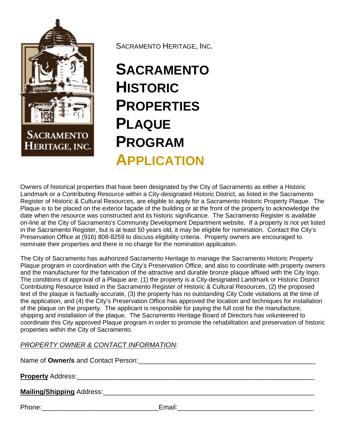

SACRAMENTO HERITAGE, INC.

## **SACRAMENTO HISTORIC PROPERTIES PLAQUE PROGRAM APPLICATION**

Owners of historical properties that have been designated by the City of Sacramento as either a Historic Landmark or a Contributing Resource within a City-designated Historic District, as listed in the Sacramento Register of Historic & Cultural Resources, are eligible to apply for a Sacramento Historic Property Plaque. The Plaque is to be placed on the exterior façade of the building or at the front of the property to acknowledge the date when the resource was constructed and its historic significance. The Sacramento Register is available on-line at the City of Sacramento's Community Development Department website. If a property is not yet listed in the Sacramento Register, but is at least 50 years old, it may be eligible for nomination. Contact the City's Preservation Office at (916) 808-8259 to discuss eligibility criteria. Property owners are encouraged to nominate their properties and there is no charge for the nomination application.

The City of Sacramento has authorized Sacramento Heritage to manage the Sacramento Historic Property Plaque program in coordination with the City's Preservation Office, and also to coordinate with property owners and the manufacturer for the fabrication of the attractive and durable bronze plaque affixed with the City logo. The conditions of approval of a Plaque are: (1) the property is a City-designated Landmark or Historic District Contributing Resource listed in the Sacramento Register of Historic & Cultural Resources, (2) the proposed text of the plaque is factually accurate, (3) the property has no outstanding City Code violations at the time of the application, and (4) the City's Preservation Office has approved the location and techniques for installation of the plaque on the property. The applicant is responsible for paying the full cost for the manufacture, shipping and installation of the plaque. The Sacramento Heritage Board of Directors has volunteered to coordinate this City approved Plaque program in order to promote the rehabilitation and preservation of historic properties within the City of Sacramento.

## *PROPERTY OWNER & CONTACT INFORMATION:*

Name of **Owner/s** and Contact Person: <u>example and</u>  $\alpha$  and  $\alpha$  and  $\alpha$  and  $\alpha$  and  $\alpha$  and  $\alpha$  and  $\alpha$  and  $\alpha$  and  $\alpha$  and  $\alpha$  and  $\alpha$  and  $\alpha$  and  $\alpha$  and  $\alpha$  and  $\alpha$  and  $\alpha$  and  $\alpha$  and  $\alpha$  and  $\alpha$  and

**Property** Address:

**Mailing/Shipping** Address:\_\_\_\_\_\_\_\_\_\_\_\_\_\_\_\_\_\_\_\_\_\_\_\_\_\_\_\_\_\_\_\_\_\_\_\_\_\_\_\_\_\_\_\_\_\_\_\_\_\_\_\_\_\_\_\_

Phone: The contract of the contract of the Email:  $E$ mail:  $E$ mail:  $E$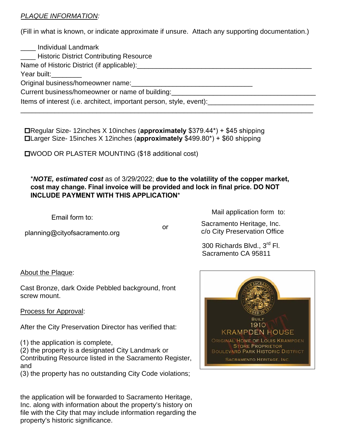## *PLAQUE INFORMATION:*

(Fill in what is known, or indicate approximate if unsure. Attach any supporting documentation.)

| ____ Individual Landmark<br><b>_____ Historic District Contributing Resource</b>                                                                                                                                                 |
|----------------------------------------------------------------------------------------------------------------------------------------------------------------------------------------------------------------------------------|
| Name of Historic District (if applicable): Name of Historic District (if applicable):                                                                                                                                            |
| Year built: Vear built:                                                                                                                                                                                                          |
| Original business/homeowner name:<br>San Francisco Contractor Contractor Contractor Contractor Contractor Contractor Contractor Contractor Contractor Contractor Contractor Contractor Contractor Contractor Contractor Contract |
| Current business/homeowner or name of building:<br>example 2014                                                                                                                                                                  |
| Items of interest (i.e. architect, important person, style, event):                                                                                                                                                              |

 Regular Size- 12inches X 10inches (**approximately** \$379.44\*) + \$45 shipping Larger Size- 15inches X 12inches (**approximately** \$499.80\*) + \$60 shipping

WOOD OR PLASTER MOUNTING (\$18 additional cost)

## \**NOTE, estimated cost* as of 3/29/2022; **due to the volatility of the copper market, cost may change. Final invoice will be provided and lock in final price. DO NOT INCLUDE PAYMENT WITH THIS APPLICATION**\*

Email form to:

planning@cityofsacramento.org

or

Mail application form to:

Sacramento Heritage, Inc. c/o City Preservation Office

 300 Richards Blvd., 3rd Fl. Sacramento CA 95811

About the Plaque:

Cast Bronze, dark Oxide Pebbled background, front screw mount.

Process for Approval:

After the City Preservation Director has verified that:

(1) the application is complete,

(2) the property is a designated City Landmark or Contributing Resource listed in the Sacramento Register, and

(3) the property has no outstanding City Code violations;

the application will be forwarded to Sacramento Heritage, Inc. along with information about the property's history on file with the City that may include information regarding the property's historic significance.